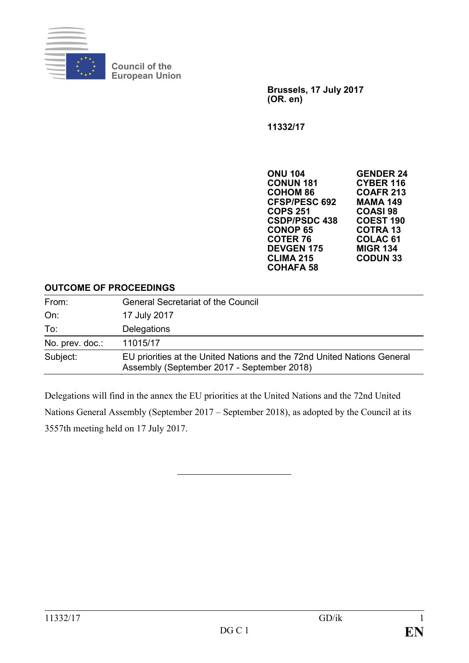

**Council of the European Union**

> **Brussels, 17 July 2017 (OR. en)**

**11332/17**

**ONU 104 GENDER 24 CONUN 181 CYBER 116 COHOM 86 COAFR 213 CFSP/PESC 692 MAMA 149 COPS 251 COASI 98 CSDP/PSDC 438 COEST 190 CONOP 65**<br>**COTER 76 COLAC 61<br>MIGR 134 DEVGEN 175 MIGR 134 CLIMA 215 CODUN 33 COHAFA 58**

#### **OUTCOME OF PROCEEDINGS**

| From:           | <b>General Secretariat of the Council</b>                                                                             |
|-----------------|-----------------------------------------------------------------------------------------------------------------------|
| On:             | 17 July 2017                                                                                                          |
| To:             | Delegations                                                                                                           |
| No. prev. doc.: | 11015/17                                                                                                              |
| Subject:        | EU priorities at the United Nations and the 72nd United Nations General<br>Assembly (September 2017 - September 2018) |

Delegations will find in the annex the EU priorities at the United Nations and the 72nd United Nations General Assembly (September 2017 – September 2018), as adopted by the Council at its 3557th meeting held on 17 July 2017.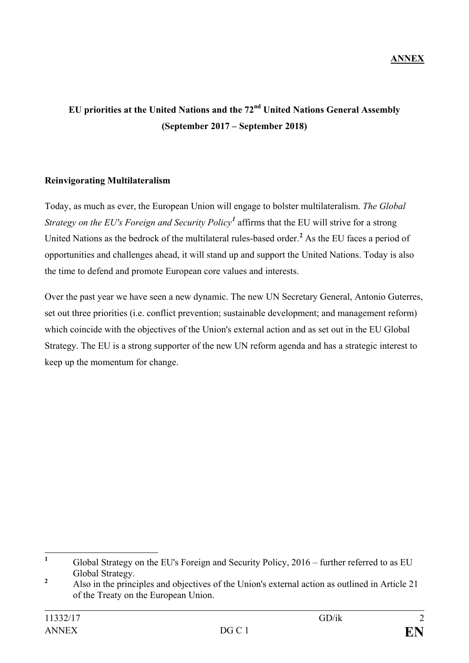# **EU priorities at the United Nations and the 72nd United Nations General Assembly (September 2017 – September 2018)**

### **Reinvigorating Multilateralism**

Today, as much as ever, the European Union will engage to bolster multilateralism. *The Global Strategy on the EU's Foreign and Security Policy[1](#page-1-0)* affirms that the EU will strive for a strong United Nations as the bedrock of the multilateral rules-based order.**[2](#page-1-1)** As the EU faces a period of opportunities and challenges ahead, it will stand up and support the United Nations. Today is also the time to defend and promote European core values and interests.

Over the past year we have seen a new dynamic. The new UN Secretary General, Antonio Guterres, set out three priorities (i.e. conflict prevention; sustainable development; and management reform) which coincide with the objectives of the Union's external action and as set out in the EU Global Strategy. The EU is a strong supporter of the new UN reform agenda and has a strategic interest to keep up the momentum for change.

<span id="page-1-0"></span><sup>&</sup>lt;sup>1</sup> Global Strategy on the EU's Foreign and Security Policy, 2016 – further referred to as EU

<span id="page-1-1"></span>Global Strategy. **<sup>2</sup>** Also in the principles and objectives of the Union's external action as outlined in Article 21 of the Treaty on the European Union.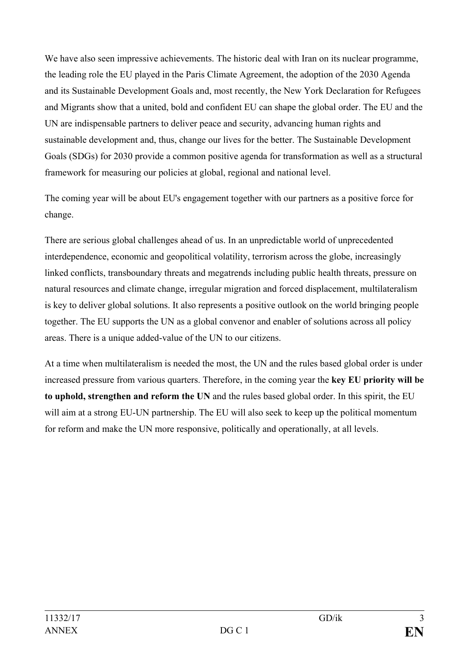We have also seen impressive achievements. The historic deal with Iran on its nuclear programme, the leading role the EU played in the Paris Climate Agreement, the adoption of the 2030 Agenda and its Sustainable Development Goals and, most recently, the New York Declaration for Refugees and Migrants show that a united, bold and confident EU can shape the global order. The EU and the UN are indispensable partners to deliver peace and security, advancing human rights and sustainable development and, thus, change our lives for the better. The Sustainable Development Goals (SDGs) for 2030 provide a common positive agenda for transformation as well as a structural framework for measuring our policies at global, regional and national level.

The coming year will be about EU's engagement together with our partners as a positive force for change.

There are serious global challenges ahead of us. In an unpredictable world of unprecedented interdependence, economic and geopolitical volatility, terrorism across the globe, increasingly linked conflicts, transboundary threats and megatrends including public health threats, pressure on natural resources and climate change, irregular migration and forced displacement, multilateralism is key to deliver global solutions. It also represents a positive outlook on the world bringing people together. The EU supports the UN as a global convenor and enabler of solutions across all policy areas. There is a unique added-value of the UN to our citizens.

At a time when multilateralism is needed the most, the UN and the rules based global order is under increased pressure from various quarters. Therefore, in the coming year the **key EU priority will be to uphold, strengthen and reform the UN** and the rules based global order. In this spirit, the EU will aim at a strong EU-UN partnership. The EU will also seek to keep up the political momentum for reform and make the UN more responsive, politically and operationally, at all levels.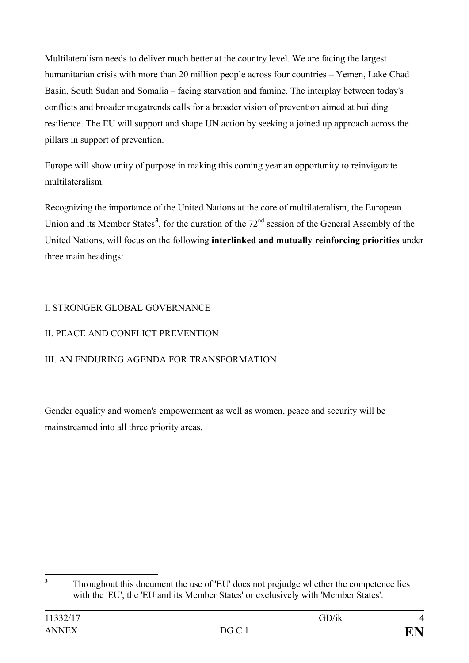Multilateralism needs to deliver much better at the country level. We are facing the largest humanitarian crisis with more than 20 million people across four countries – Yemen, Lake Chad Basin, South Sudan and Somalia – facing starvation and famine. The interplay between today's conflicts and broader megatrends calls for a broader vision of prevention aimed at building resilience. The EU will support and shape UN action by seeking a joined up approach across the pillars in support of prevention.

Europe will show unity of purpose in making this coming year an opportunity to reinvigorate multilateralism.

Recognizing the importance of the United Nations at the core of multilateralism, the European Union and its Member States<sup>[3](#page-3-0)</sup>, for the duration of the 72<sup>nd</sup> session of the General Assembly of the United Nations, will focus on the following **interlinked and mutually reinforcing priorities** under three main headings:

### I. STRONGER GLOBAL GOVERNANCE

# II. PEACE AND CONFLICT PREVENTION

# III. AN ENDURING AGENDA FOR TRANSFORMATION

Gender equality and women's empowerment as well as women, peace and security will be mainstreamed into all three priority areas.

<span id="page-3-0"></span><sup>&</sup>lt;sup>3</sup> Throughout this document the use of 'EU' does not prejudge whether the competence lies with the 'EU', the 'EU and its Member States' or exclusively with 'Member States'.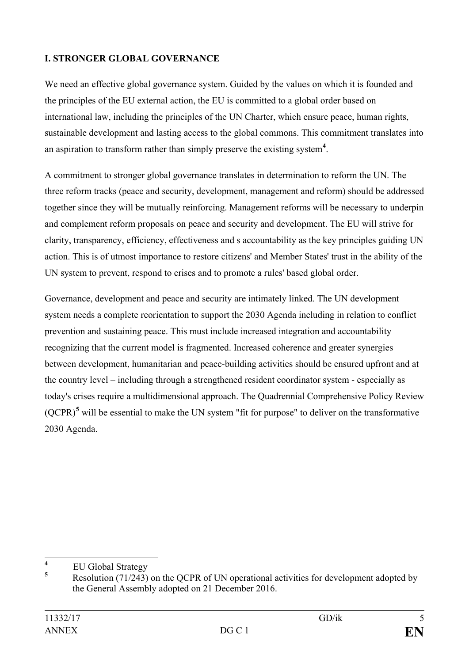### **I. STRONGER GLOBAL GOVERNANCE**

We need an effective global governance system. Guided by the values on which it is founded and the principles of the EU external action, the EU is committed to a global order based on international law, including the principles of the UN Charter, which ensure peace, human rights, sustainable development and lasting access to the global commons. This commitment translates into an aspiration to transform rather than simply preserve the existing system**[4](#page-4-0)** .

A commitment to stronger global governance translates in determination to reform the UN. The three reform tracks (peace and security, development, management and reform) should be addressed together since they will be mutually reinforcing. Management reforms will be necessary to underpin and complement reform proposals on peace and security and development. The EU will strive for clarity, transparency, efficiency, effectiveness and s accountability as the key principles guiding UN action. This is of utmost importance to restore citizens' and Member States' trust in the ability of the UN system to prevent, respond to crises and to promote a rules' based global order.

Governance, development and peace and security are intimately linked. The UN development system needs a complete reorientation to support the 2030 Agenda including in relation to conflict prevention and sustaining peace. This must include increased integration and accountability recognizing that the current model is fragmented. Increased coherence and greater synergies between development, humanitarian and peace-building activities should be ensured upfront and at the country level – including through a strengthened resident coordinator system - especially as today's crises require a multidimensional approach. The Quadrennial Comprehensive Policy Review  $(QCPR)<sup>5</sup>$  $(QCPR)<sup>5</sup>$  $(QCPR)<sup>5</sup>$  will be essential to make the UN system "fit for purpose" to deliver on the transformative 2030 Agenda.

<span id="page-4-0"></span> $\frac{4}{5}$  EU Global Strategy

<span id="page-4-1"></span>**<sup>5</sup>** [Resolution \(71/243\)](http://undocs.org/A/RES/71/243) on the QCPR of UN operational activities for development adopted by the General Assembly adopted on 21 December 2016.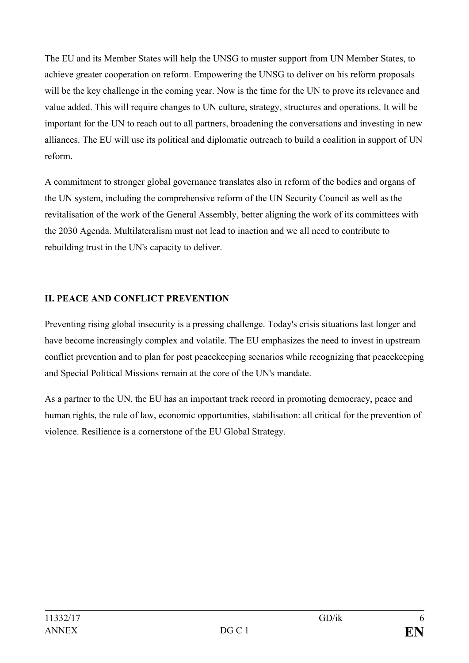The EU and its Member States will help the UNSG to muster support from UN Member States, to achieve greater cooperation on reform. Empowering the UNSG to deliver on his reform proposals will be the key challenge in the coming year. Now is the time for the UN to prove its relevance and value added. This will require changes to UN culture, strategy, structures and operations. It will be important for the UN to reach out to all partners, broadening the conversations and investing in new alliances. The EU will use its political and diplomatic outreach to build a coalition in support of UN reform.

A commitment to stronger global governance translates also in reform of the bodies and organs of the UN system, including the comprehensive reform of the UN Security Council as well as the revitalisation of the work of the General Assembly, better aligning the work of its committees with the 2030 Agenda. Multilateralism must not lead to inaction and we all need to contribute to rebuilding trust in the UN's capacity to deliver.

### **II. PEACE AND CONFLICT PREVENTION**

Preventing rising global insecurity is a pressing challenge. Today's crisis situations last longer and have become increasingly complex and volatile. The EU emphasizes the need to invest in upstream conflict prevention and to plan for post peacekeeping scenarios while recognizing that peacekeeping and Special Political Missions remain at the core of the UN's mandate.

As a partner to the UN, the EU has an important track record in promoting democracy, peace and human rights, the rule of law, economic opportunities, stabilisation: all critical for the prevention of violence. Resilience is a cornerstone of the EU Global Strategy.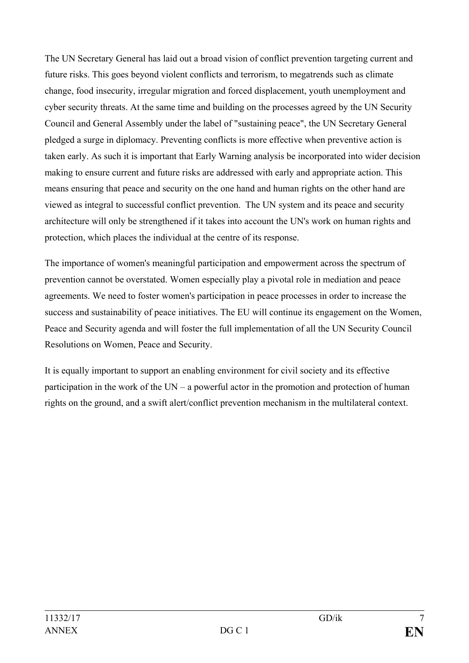The UN Secretary General has laid out a broad vision of conflict prevention targeting current and future risks. This goes beyond violent conflicts and terrorism, to megatrends such as climate change, food insecurity, irregular migration and forced displacement, youth unemployment and cyber security threats. At the same time and building on the processes agreed by the UN Security Council and General Assembly under the label of "sustaining peace", the UN Secretary General pledged a surge in diplomacy. Preventing conflicts is more effective when preventive action is taken early. As such it is important that Early Warning analysis be incorporated into wider decision making to ensure current and future risks are addressed with early and appropriate action. This means ensuring that peace and security on the one hand and human rights on the other hand are viewed as integral to successful conflict prevention. The UN system and its peace and security architecture will only be strengthened if it takes into account the UN's work on human rights and protection, which places the individual at the centre of its response.

The importance of women's meaningful participation and empowerment across the spectrum of prevention cannot be overstated. Women especially play a pivotal role in mediation and peace agreements. We need to foster women's participation in peace processes in order to increase the success and sustainability of peace initiatives. The EU will continue its engagement on the Women, Peace and Security agenda and will foster the full implementation of all the UN Security Council Resolutions on Women, Peace and Security.

It is equally important to support an enabling environment for civil society and its effective participation in the work of the UN – a powerful actor in the promotion and protection of human rights on the ground, and a swift alert/conflict prevention mechanism in the multilateral context.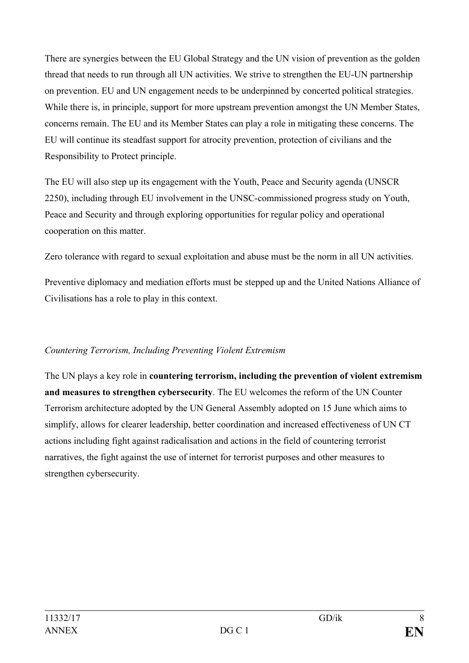There are synergies between the EU Global Strategy and the UN vision of prevention as the golden thread that needs to run through all UN activities. We strive to strengthen the EU-UN partnership on prevention. EU and UN engagement needs to be underpinned by concerted political strategies. While there is, in principle, support for more upstream prevention amongst the UN Member States, concerns remain. The EU and its Member States can play a role in mitigating these concerns. The EU will continue its steadfast support for atrocity prevention, protection of civilians and the Responsibility to Protect principle.

The EU will also step up its engagement with the Youth, Peace and Security agenda (UNSCR 2250), including through EU involvement in the UNSC-commissioned progress study on Youth, Peace and Security and through exploring opportunities for regular policy and operational cooperation on this matter.

Zero tolerance with regard to sexual exploitation and abuse must be the norm in all UN activities.

Preventive diplomacy and mediation efforts must be stepped up and the United Nations Alliance of Civilisations has a role to play in this context.

# *Countering Terrorism, Including Preventing Violent Extremism*

The UN plays a key role in **countering terrorism, including the prevention of violent extremism and measures to strengthen cybersecurity**. The EU welcomes the reform of the UN Counter Terrorism architecture adopted by the UN General Assembly adopted on 15 June which aims to simplify, allows for clearer leadership, better coordination and increased effectiveness of UN CT actions including fight against radicalisation and actions in the field of countering terrorist narratives, the fight against the use of internet for terrorist purposes and other measures to strengthen cybersecurity.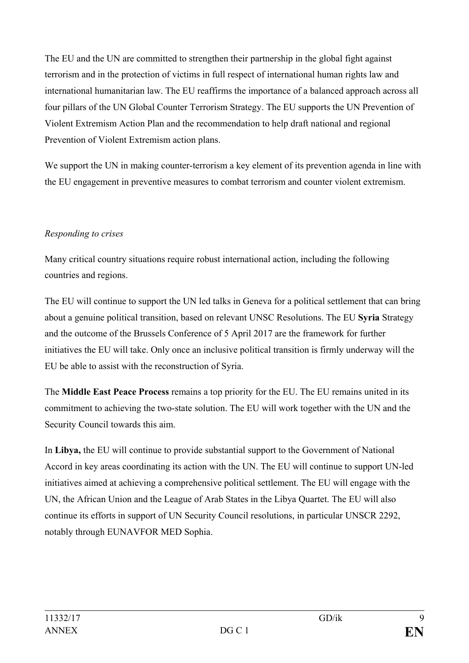The EU and the UN are committed to strengthen their partnership in the global fight against terrorism and in the protection of victims in full respect of international human rights law and international humanitarian law. The EU reaffirms the importance of a balanced approach across all four pillars of the UN Global Counter Terrorism Strategy. The EU supports the UN Prevention of Violent Extremism Action Plan and the recommendation to help draft national and regional Prevention of Violent Extremism action plans.

We support the UN in making counter-terrorism a key element of its prevention agenda in line with the EU engagement in preventive measures to combat terrorism and counter violent extremism.

### *Responding to crises*

Many critical country situations require robust international action, including the following countries and regions.

The EU will continue to support the UN led talks in Geneva for a political settlement that can bring about a genuine political transition, based on relevant UNSC Resolutions. The EU **Syria** Strategy and the outcome of the Brussels Conference of 5 April 2017 are the framework for further initiatives the EU will take. Only once an inclusive political transition is firmly underway will the EU be able to assist with the reconstruction of Syria.

The **Middle East Peace Process** remains a top priority for the EU. The EU remains united in its commitment to achieving the two-state solution. The EU will work together with the UN and the Security Council towards this aim.

In **Libya,** the EU will continue to provide substantial support to the Government of National Accord in key areas coordinating its action with the UN. The EU will continue to support UN-led initiatives aimed at achieving a comprehensive political settlement. The EU will engage with the UN, the African Union and the League of Arab States in the Libya Quartet. The EU will also continue its efforts in support of UN Security Council resolutions, in particular UNSCR 2292, notably through EUNAVFOR MED Sophia.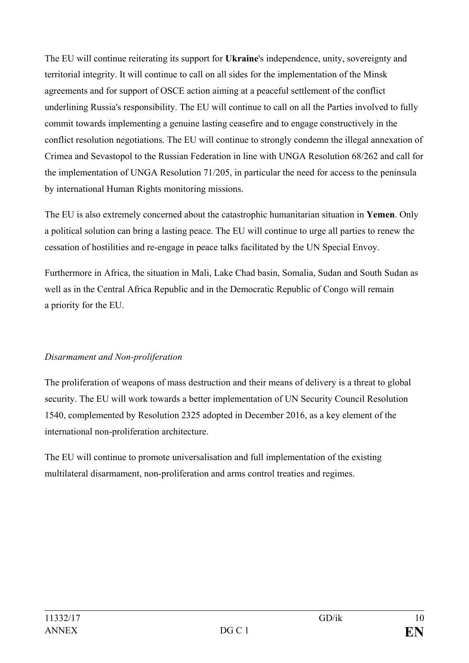The EU will continue reiterating its support for **Ukraine**'s independence, unity, sovereignty and territorial integrity. It will continue to call on all sides for the implementation of the Minsk agreements and for support of OSCE action aiming at a peaceful settlement of the conflict underlining Russia's responsibility. The EU will continue to call on all the Parties involved to fully commit towards implementing a genuine lasting ceasefire and to engage constructively in the conflict resolution negotiations. The EU will continue to strongly condemn the illegal annexation of Crimea and Sevastopol to the Russian Federation in line with UNGA Resolution 68/262 and call for the implementation of UNGA Resolution 71/205, in particular the need for access to the peninsula by international Human Rights monitoring missions.

The EU is also extremely concerned about the catastrophic humanitarian situation in **Yemen**. Only a political solution can bring a lasting peace. The EU will continue to urge all parties to renew the cessation of hostilities and re-engage in peace talks facilitated by the UN Special Envoy.

Furthermore in Africa, the situation in Mali, Lake Chad basin, Somalia, Sudan and South Sudan as well as in the Central Africa Republic and in the Democratic Republic of Congo will remain a priority for the EU.

### *Disarmament and Non-proliferation*

The proliferation of weapons of mass destruction and their means of delivery is a threat to global security. The EU will work towards a better implementation of UN Security Council Resolution 1540, complemented by Resolution 2325 adopted in December 2016, as a key element of the international non-proliferation architecture.

The EU will continue to promote universalisation and full implementation of the existing multilateral disarmament, non-proliferation and arms control treaties and regimes.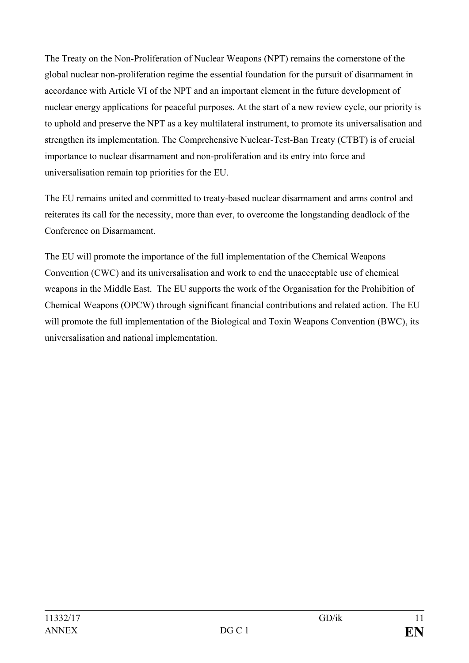The Treaty on the Non-Proliferation of Nuclear Weapons (NPT) remains the cornerstone of the global nuclear non-proliferation regime the essential foundation for the pursuit of disarmament in accordance with Article VI of the NPT and an important element in the future development of nuclear energy applications for peaceful purposes. At the start of a new review cycle, our priority is to uphold and preserve the NPT as a key multilateral instrument, to promote its universalisation and strengthen its implementation. The Comprehensive Nuclear-Test-Ban Treaty (CTBT) is of crucial importance to nuclear disarmament and non-proliferation and its entry into force and universalisation remain top priorities for the EU.

The EU remains united and committed to treaty-based nuclear disarmament and arms control and reiterates its call for the necessity, more than ever, to overcome the longstanding deadlock of the Conference on Disarmament.

The EU will promote the importance of the full implementation of the Chemical Weapons Convention (CWC) and its universalisation and work to end the unacceptable use of chemical weapons in the Middle East. The EU supports the work of the Organisation for the Prohibition of Chemical Weapons (OPCW) through significant financial contributions and related action. The EU will promote the full implementation of the Biological and Toxin Weapons Convention (BWC), its universalisation and national implementation.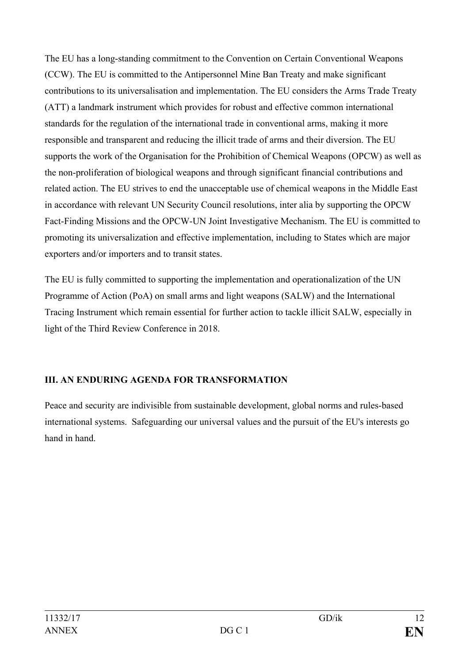The EU has a long-standing commitment to the Convention on Certain Conventional Weapons (CCW). The EU is committed to the Antipersonnel Mine Ban Treaty and make significant contributions to its universalisation and implementation. The EU considers the Arms Trade Treaty (ATT) a landmark instrument which provides for robust and effective common international standards for the regulation of the international trade in conventional arms, making it more responsible and transparent and reducing the illicit trade of arms and their diversion. The EU supports the work of the Organisation for the Prohibition of Chemical Weapons (OPCW) as well as the non-proliferation of biological weapons and through significant financial contributions and related action. The EU strives to end the unacceptable use of chemical weapons in the Middle East in accordance with relevant UN Security Council resolutions, inter alia by supporting the OPCW Fact-Finding Missions and the OPCW-UN Joint Investigative Mechanism. The EU is committed to promoting its universalization and effective implementation, including to States which are major exporters and/or importers and to transit states.

The EU is fully committed to supporting the implementation and operationalization of the UN Programme of Action (PoA) on small arms and light weapons (SALW) and the International Tracing Instrument which remain essential for further action to tackle illicit SALW, especially in light of the Third Review Conference in 2018.

# **III. AN ENDURING AGENDA FOR TRANSFORMATION**

Peace and security are indivisible from sustainable development, global norms and rules-based international systems. Safeguarding our universal values and the pursuit of the EU's interests go hand in hand.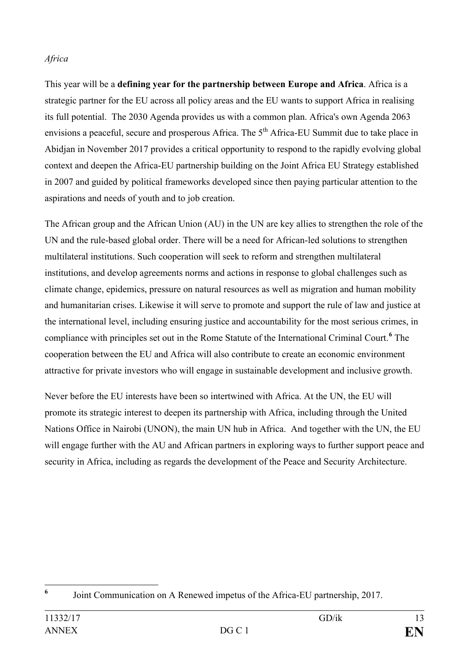#### *Africa*

This year will be a **defining year for the partnership between Europe and Africa**. Africa is a strategic partner for the EU across all policy areas and the EU wants to support Africa in realising its full potential. The 2030 Agenda provides us with a common plan. Africa's own Agenda 2063 envisions a peaceful, secure and prosperous Africa. The  $5<sup>th</sup>$  Africa-EU Summit due to take place in Abidjan in November 2017 provides a critical opportunity to respond to the rapidly evolving global context and deepen the Africa-EU partnership building on the Joint Africa EU Strategy established in 2007 and guided by political frameworks developed since then paying particular attention to the aspirations and needs of youth and to job creation.

The African group and the African Union (AU) in the UN are key allies to strengthen the role of the UN and the rule-based global order. There will be a need for African-led solutions to strengthen multilateral institutions. Such cooperation will seek to reform and strengthen multilateral institutions, and develop agreements norms and actions in response to global challenges such as climate change, epidemics, pressure on natural resources as well as migration and human mobility and humanitarian crises. Likewise it will serve to promote and support the rule of law and justice at the international level, including ensuring justice and accountability for the most serious crimes, in compliance with principles set out in the Rome Statute of the International Criminal Court.**[6](#page-12-0)** The cooperation between the EU and Africa will also contribute to create an economic environment attractive for private investors who will engage in sustainable development and inclusive growth.

Never before the EU interests have been so intertwined with Africa. At the UN, the EU will promote its strategic interest to deepen its partnership with Africa, including through the United Nations Office in Nairobi (UNON), the main UN hub in Africa. And together with the UN, the EU will engage further with the AU and African partners in exploring ways to further support peace and security in Africa, including as regards the development of the Peace and Security Architecture.

<span id="page-12-0"></span>**<sup>6</sup>** Joint Communication on A Renewed impetus of the Africa-EU partnership, 2017.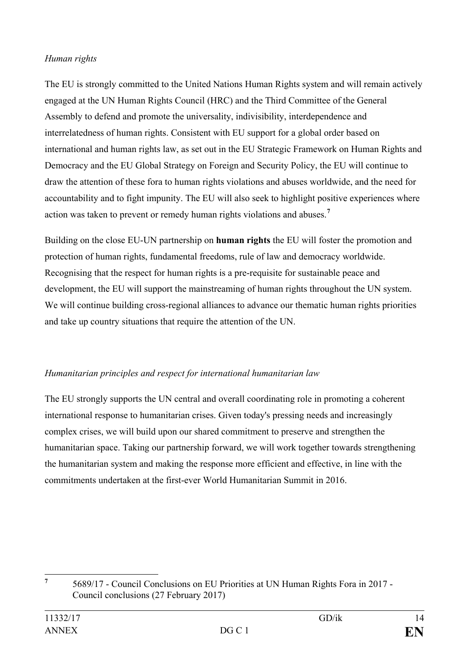#### *Human rights*

The EU is strongly committed to the United Nations Human Rights system and will remain actively engaged at the UN Human Rights Council (HRC) and the Third Committee of the General Assembly to defend and promote the universality, indivisibility, interdependence and interrelatedness of human rights. Consistent with EU support for a global order based on international and human rights law, as set out in the EU Strategic Framework on Human Rights and Democracy and the EU Global Strategy on Foreign and Security Policy, the EU will continue to draw the attention of these fora to human rights violations and abuses worldwide, and the need for accountability and to fight impunity. The EU will also seek to highlight positive experiences where action was taken to prevent or remedy human rights violations and abuses.**[7](#page-13-0)**

Building on the close EU-UN partnership on **human rights** the EU will foster the promotion and protection of human rights, fundamental freedoms, rule of law and democracy worldwide. Recognising that the respect for human rights is a pre-requisite for sustainable peace and development, the EU will support the mainstreaming of human rights throughout the UN system. We will continue building cross-regional alliances to advance our thematic human rights priorities and take up country situations that require the attention of the UN.

# *Humanitarian principles and respect for international humanitarian law*

The EU strongly supports the UN central and overall coordinating role in promoting a coherent international response to humanitarian crises. Given today's pressing needs and increasingly complex crises, we will build upon our shared commitment to preserve and strengthen the humanitarian space. Taking our partnership forward, we will work together towards strengthening the humanitarian system and making the response more efficient and effective, in line with the commitments undertaken at the first-ever World Humanitarian Summit in 2016.

<span id="page-13-0"></span>**<sup>7</sup>** 5689/17 - Council Conclusions on EU Priorities at UN Human Rights Fora in 2017 - Council conclusions (27 February 2017)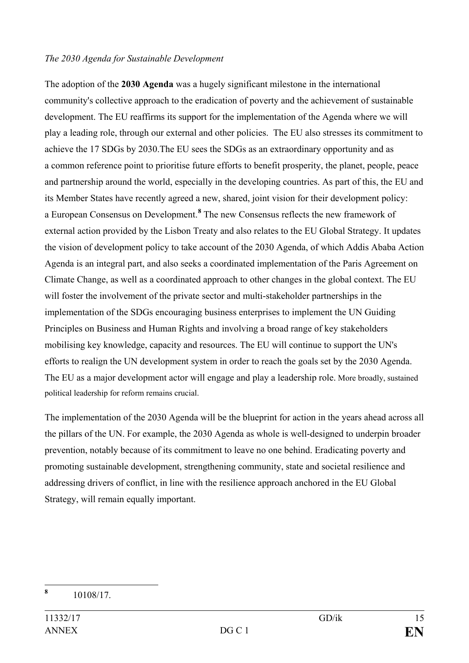#### *The 2030 Agenda for Sustainable Development*

The adoption of the **2030 Agenda** was a hugely significant milestone in the international community's collective approach to the eradication of poverty and the achievement of sustainable development. The EU reaffirms its support for the implementation of the Agenda where we will play a leading role, through our external and other policies. The EU also stresses its commitment to achieve the 17 SDGs by 2030.The EU sees the SDGs as an extraordinary opportunity and as a common reference point to prioritise future efforts to benefit prosperity, the planet, people, peace and partnership around the world, especially in the developing countries. As part of this, the EU and its Member States have recently agreed a new, shared, joint vision for their development policy: a European Consensus on Development.**[8](#page-14-0)** The new Consensus reflects the new framework of external action provided by the Lisbon Treaty and also relates to the EU Global Strategy. It updates the vision of development policy to take account of the 2030 Agenda, of which Addis Ababa Action Agenda is an integral part, and also seeks a coordinated implementation of the Paris Agreement on Climate Change, as well as a coordinated approach to other changes in the global context. The EU will foster the involvement of the private sector and multi-stakeholder partnerships in the implementation of the SDGs encouraging business enterprises to implement the UN Guiding Principles on Business and Human Rights and involving a broad range of key stakeholders mobilising key knowledge, capacity and resources. The EU will continue to support the UN's efforts to realign the UN development system in order to reach the goals set by the 2030 Agenda. The EU as a major development actor will engage and play a leadership role. More broadly, sustained political leadership for reform remains crucial.

The implementation of the 2030 Agenda will be the blueprint for action in the years ahead across all the pillars of the UN. For example, the 2030 Agenda as whole is well-designed to underpin broader prevention, notably because of its commitment to leave no one behind. Eradicating poverty and promoting sustainable development, strengthening community, state and societal resilience and addressing drivers of conflict, in line with the resilience approach anchored in the EU Global Strategy, will remain equally important.

<span id="page-14-0"></span>**<sup>8</sup>** 10108/17.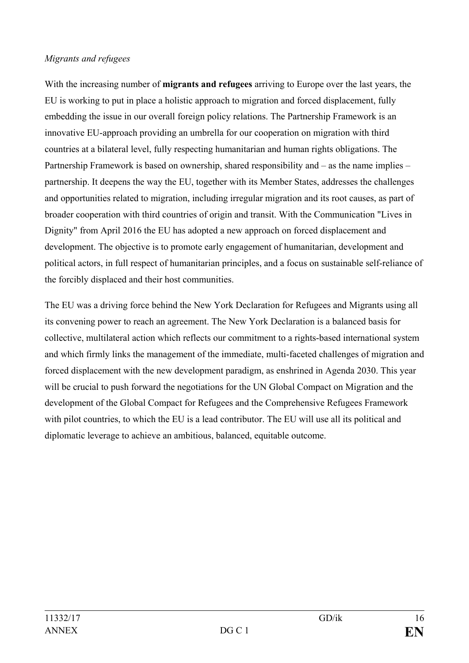#### *Migrants and refugees*

With the increasing number of **migrants and refugees** arriving to Europe over the last years, the EU is working to put in place a holistic approach to migration and forced displacement, fully embedding the issue in our overall foreign policy relations. The Partnership Framework is an innovative EU-approach providing an umbrella for our cooperation on migration with third countries at a bilateral level, fully respecting humanitarian and human rights obligations. The Partnership Framework is based on ownership, shared responsibility and – as the name implies – partnership. It deepens the way the EU, together with its Member States, addresses the challenges and opportunities related to migration, including irregular migration and its root causes, as part of broader cooperation with third countries of origin and transit. With the Communication "Lives in Dignity" from April 2016 the EU has adopted a new approach on forced displacement and development. The objective is to promote early engagement of humanitarian, development and political actors, in full respect of humanitarian principles, and a focus on sustainable self-reliance of the forcibly displaced and their host communities.

The EU was a driving force behind the New York Declaration for Refugees and Migrants using all its convening power to reach an agreement. The New York Declaration is a balanced basis for collective, multilateral action which reflects our commitment to a rights-based international system and which firmly links the management of the immediate, multi-faceted challenges of migration and forced displacement with the new development paradigm, as enshrined in Agenda 2030. This year will be crucial to push forward the negotiations for the UN Global Compact on Migration and the development of the Global Compact for Refugees and the Comprehensive Refugees Framework with pilot countries, to which the EU is a lead contributor. The EU will use all its political and diplomatic leverage to achieve an ambitious, balanced, equitable outcome.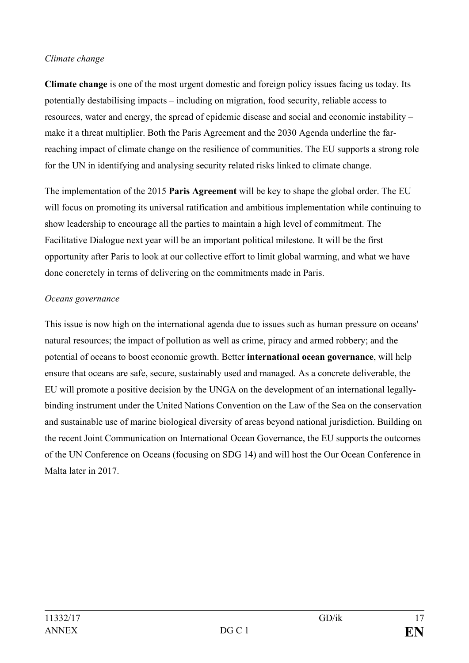#### *Climate change*

**Climate change** is one of the most urgent domestic and foreign policy issues facing us today. Its potentially destabilising impacts – including on migration, food security, reliable access to resources, water and energy, the spread of epidemic disease and social and economic instability – make it a threat multiplier. Both the Paris Agreement and the 2030 Agenda underline the farreaching impact of climate change on the resilience of communities. The EU supports a strong role for the UN in identifying and analysing security related risks linked to climate change.

The implementation of the 2015 **Paris Agreement** will be key to shape the global order. The EU will focus on promoting its universal ratification and ambitious implementation while continuing to show leadership to encourage all the parties to maintain a high level of commitment. The Facilitative Dialogue next year will be an important political milestone. It will be the first opportunity after Paris to look at our collective effort to limit global warming, and what we have done concretely in terms of delivering on the commitments made in Paris.

#### *Oceans governance*

This issue is now high on the international agenda due to issues such as human pressure on oceans' natural resources; the impact of pollution as well as crime, piracy and armed robbery; and the potential of oceans to boost economic growth. Better **international ocean governance**, will help ensure that oceans are safe, secure, sustainably used and managed. As a concrete deliverable, the EU will promote a positive decision by the UNGA on the development of an international legallybinding instrument under the United Nations Convention on the Law of the Sea on the conservation and sustainable use of marine biological diversity of areas beyond national jurisdiction. Building on the recent Joint Communication on International Ocean Governance, the EU supports the outcomes of the UN Conference on Oceans (focusing on SDG 14) and will host the Our Ocean Conference in Malta later in 2017.